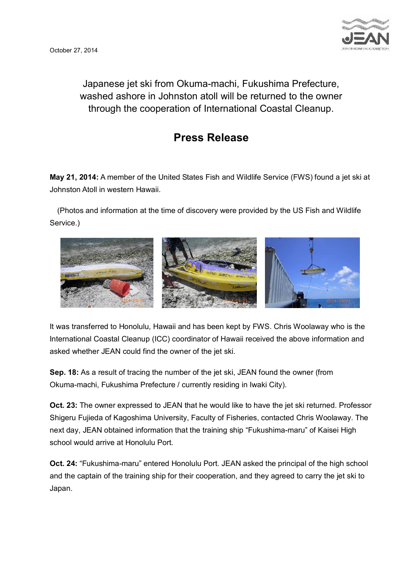

Japanese jet ski from Okuma-machi, Fukushima Prefecture, washed ashore in Johnston atoll will be returned to the owner through the cooperation of International Coastal Cleanup.

## **Press Release**

**May 21, 2014:** A member of the United States Fish and Wildlife Service (FWS) found a jet ski at Johnston Atoll in western Hawaii.

 (Photos and information at the time of discovery were provided by the US Fish and Wildlife Service.)



It was transferred to Honolulu, Hawaii and has been kept by FWS. Chris Woolaway who is the International Coastal Cleanup (ICC) coordinator of Hawaii received the above information and asked whether JEAN could find the owner of the jet ski.

**Sep. 18:** As a result of tracing the number of the jet ski, JEAN found the owner (from Okuma-machi, Fukushima Prefecture / currently residing in Iwaki City).

**Oct. 23:** The owner expressed to JEAN that he would like to have the jet ski returned. Professor Shigeru Fujieda of Kagoshima University, Faculty of Fisheries, contacted Chris Woolaway. The next day, JEAN obtained information that the training ship "Fukushima-maru" of Kaisei High school would arrive at Honolulu Port.

**Oct. 24:** "Fukushima-maru" entered Honolulu Port. JEAN asked the principal of the high school and the captain of the training ship for their cooperation, and they agreed to carry the jet ski to Japan.